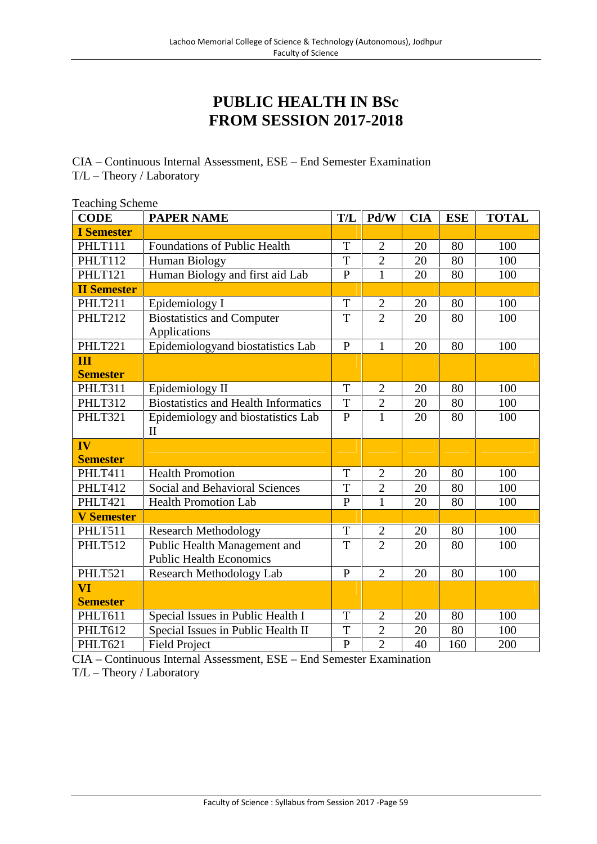## **PUBLIC HEALTH IN BSc FROM SESSION 2017-2018**

CIA – Continuous Internal Assessment, ESE – End Semester Examination T/L – Theory / Laboratory

| <b>Teaching Scheme</b>  |                                             |                |                |            |            |              |  |  |
|-------------------------|---------------------------------------------|----------------|----------------|------------|------------|--------------|--|--|
| <b>CODE</b>             | <b>PAPER NAME</b>                           | T/L            | Pd/W           | <b>CIA</b> | <b>ESE</b> | <b>TOTAL</b> |  |  |
| <b>I</b> Semester       |                                             |                |                |            |            |              |  |  |
| PHLT111                 | <b>Foundations of Public Health</b>         | T              | $\mathfrak{2}$ | 20         | 80         | 100          |  |  |
| PHLT112                 | Human Biology                               | T              | $\overline{2}$ | 20         | 80         | 100          |  |  |
| PHLT121                 | Human Biology and first aid Lab             | $\overline{P}$ | $\overline{1}$ | 20         | 80         | 100          |  |  |
| <b>II Semester</b>      |                                             |                |                |            |            |              |  |  |
| PHLT211                 | Epidemiology I                              | T              | $\overline{2}$ | 20         | 80         | 100          |  |  |
| PHLT212                 | <b>Biostatistics and Computer</b>           | T              | $\overline{2}$ | 20         | 80         | 100          |  |  |
|                         | Applications                                |                |                |            |            |              |  |  |
| PHLT221                 | Epidemiologyand biostatistics Lab           | $\mathbf{P}$   | $\mathbf{1}$   | 20         | 80         | 100          |  |  |
| $\overline{\mathbf{H}}$ |                                             |                |                |            |            |              |  |  |
| <b>Semester</b>         |                                             |                |                |            |            |              |  |  |
| PHLT311                 | Epidemiology II                             | $\mathbf T$    | $\overline{2}$ | 20         | 80         | 100          |  |  |
| PHLT312                 | <b>Biostatistics and Health Informatics</b> | T              | $\overline{2}$ | 20         | 80         | 100          |  |  |
| PHLT321                 | Epidemiology and biostatistics Lab          | $\mathbf{P}$   | $\mathbf{1}$   | 20         | 80         | 100          |  |  |
|                         | $\mathbf{I}$                                |                |                |            |            |              |  |  |
| IV                      |                                             |                |                |            |            |              |  |  |
| <b>Semester</b>         |                                             |                |                |            |            |              |  |  |
| PHLT411                 | <b>Health Promotion</b>                     | T              | $\overline{2}$ | 20         | 80         | 100          |  |  |
| PHLT412                 | <b>Social and Behavioral Sciences</b>       | T              | $\overline{2}$ | 20         | 80         | 100          |  |  |
| PHLT421                 | <b>Health Promotion Lab</b>                 | $\mathbf{P}$   | $\overline{1}$ | 20         | 80         | 100          |  |  |
| <b>V</b> Semester       |                                             |                |                |            |            |              |  |  |
| PHLT511                 | <b>Research Methodology</b>                 | $\mathbf T$    | $\overline{2}$ | 20         | 80         | 100          |  |  |
| PHLT512                 | Public Health Management and                | T              | $\overline{2}$ | 20         | 80         | 100          |  |  |
|                         | <b>Public Health Economics</b>              |                |                |            |            |              |  |  |
| PHLT521                 | <b>Research Methodology Lab</b>             | P              | $\overline{2}$ | 20         | 80         | 100          |  |  |
| VI                      |                                             |                |                |            |            |              |  |  |
| <b>Semester</b>         |                                             |                |                |            |            |              |  |  |
| PHLT611                 | Special Issues in Public Health I           | T              | $\overline{2}$ | 20         | 80         | 100          |  |  |
| PHLT612                 | Special Issues in Public Health II          | T              | $\overline{2}$ | 20         | 80         | 100          |  |  |
| PHLT621                 | <b>Field Project</b>                        | $\mathbf{P}$   | $\overline{2}$ | 40         | 160        | 200          |  |  |

CIA – Continuous Internal Assessment, ESE – End Semester Examination

T/L – Theory / Laboratory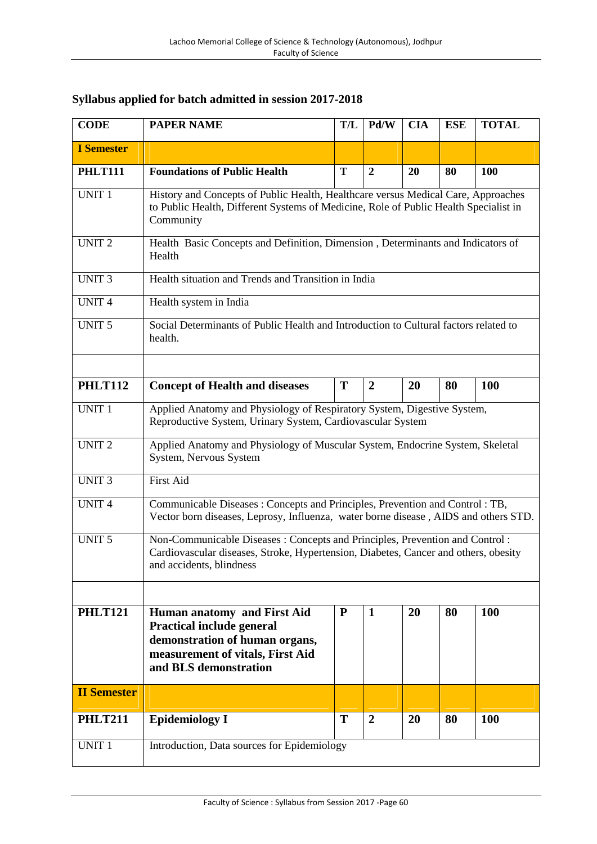| Syllabus applied for batch admitted in session 2017-2018 |  |  |
|----------------------------------------------------------|--|--|
|                                                          |  |  |

| <b>CODE</b>        | <b>PAPER NAME</b>                                                                                                                                                                              | T/L       | Pd/W             | <b>CIA</b> | <b>ESE</b> | <b>TOTAL</b> |  |  |  |
|--------------------|------------------------------------------------------------------------------------------------------------------------------------------------------------------------------------------------|-----------|------------------|------------|------------|--------------|--|--|--|
| <b>I</b> Semester  |                                                                                                                                                                                                |           |                  |            |            |              |  |  |  |
| <b>PHLT111</b>     | <b>Foundations of Public Health</b>                                                                                                                                                            | T         | $\boldsymbol{2}$ | 20         | 80         | 100          |  |  |  |
| <b>UNIT 1</b>      | History and Concepts of Public Health, Healthcare versus Medical Care, Approaches<br>to Public Health, Different Systems of Medicine, Role of Public Health Specialist in<br>Community         |           |                  |            |            |              |  |  |  |
| <b>UNIT 2</b>      | Health Basic Concepts and Definition, Dimension, Determinants and Indicators of<br>Health                                                                                                      |           |                  |            |            |              |  |  |  |
| <b>UNIT 3</b>      | Health situation and Trends and Transition in India                                                                                                                                            |           |                  |            |            |              |  |  |  |
| <b>UNIT4</b>       | Health system in India                                                                                                                                                                         |           |                  |            |            |              |  |  |  |
| <b>UNIT 5</b>      | Social Determinants of Public Health and Introduction to Cultural factors related to<br>health.                                                                                                |           |                  |            |            |              |  |  |  |
| <b>PHLT112</b>     | <b>Concept of Health and diseases</b>                                                                                                                                                          | T         | $\boldsymbol{2}$ | 20         | 80         | <b>100</b>   |  |  |  |
| <b>UNIT 1</b>      | Applied Anatomy and Physiology of Respiratory System, Digestive System,<br>Reproductive System, Urinary System, Cardiovascular System                                                          |           |                  |            |            |              |  |  |  |
| <b>UNIT2</b>       | Applied Anatomy and Physiology of Muscular System, Endocrine System, Skeletal<br>System, Nervous System                                                                                        |           |                  |            |            |              |  |  |  |
| <b>UNIT 3</b>      | <b>First Aid</b>                                                                                                                                                                               |           |                  |            |            |              |  |  |  |
| <b>UNIT4</b>       | Communicable Diseases: Concepts and Principles, Prevention and Control: TB,<br>Vector born diseases, Leprosy, Influenza, water borne disease, AIDS and others STD.                             |           |                  |            |            |              |  |  |  |
| <b>UNIT 5</b>      | Non-Communicable Diseases: Concepts and Principles, Prevention and Control:<br>Cardiovascular diseases, Stroke, Hypertension, Diabetes, Cancer and others, obesity<br>and accidents, blindness |           |                  |            |            |              |  |  |  |
| <b>PHLT121</b>     | Human anatomy and First Aid<br>Practical include general<br>demonstration of human organs,<br>measurement of vitals, First Aid<br>and BLS demonstration                                        | ${\bf P}$ | $\mathbf{1}$     | 20         | 80         | 100          |  |  |  |
| <b>II Semester</b> |                                                                                                                                                                                                |           |                  |            |            |              |  |  |  |
| <b>PHLT211</b>     | <b>Epidemiology I</b>                                                                                                                                                                          | T         | $\overline{2}$   | 20         | 80         | <b>100</b>   |  |  |  |
| UNIT <sub>1</sub>  | Introduction, Data sources for Epidemiology                                                                                                                                                    |           |                  |            |            |              |  |  |  |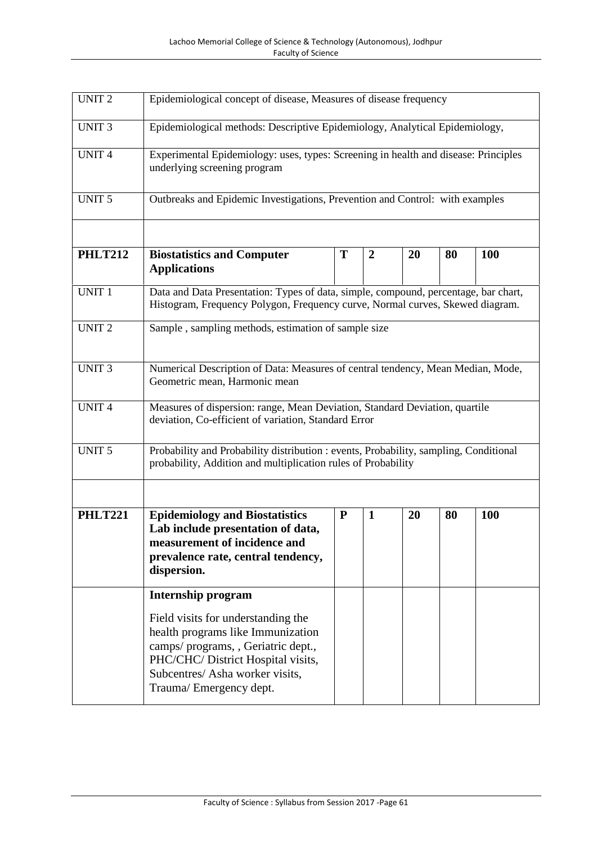| <b>UNIT2</b>   | Epidemiological concept of disease, Measures of disease frequency                                                                                                    |           |                |    |    |            |  |  |
|----------------|----------------------------------------------------------------------------------------------------------------------------------------------------------------------|-----------|----------------|----|----|------------|--|--|
| <b>UNIT3</b>   | Epidemiological methods: Descriptive Epidemiology, Analytical Epidemiology,                                                                                          |           |                |    |    |            |  |  |
| <b>UNIT4</b>   | Experimental Epidemiology: uses, types: Screening in health and disease: Principles<br>underlying screening program                                                  |           |                |    |    |            |  |  |
| <b>UNIT 5</b>  | Outbreaks and Epidemic Investigations, Prevention and Control: with examples                                                                                         |           |                |    |    |            |  |  |
| <b>PHLT212</b> | <b>Biostatistics and Computer</b><br><b>Applications</b>                                                                                                             | Т         | $\overline{2}$ | 20 | 80 | <b>100</b> |  |  |
| <b>UNIT 1</b>  | Data and Data Presentation: Types of data, simple, compound, percentage, bar chart,<br>Histogram, Frequency Polygon, Frequency curve, Normal curves, Skewed diagram. |           |                |    |    |            |  |  |
| <b>UNIT2</b>   | Sample, sampling methods, estimation of sample size                                                                                                                  |           |                |    |    |            |  |  |
| <b>UNIT3</b>   | Numerical Description of Data: Measures of central tendency, Mean Median, Mode,<br>Geometric mean, Harmonic mean                                                     |           |                |    |    |            |  |  |
| <b>UNIT4</b>   | Measures of dispersion: range, Mean Deviation, Standard Deviation, quartile<br>deviation, Co-efficient of variation, Standard Error                                  |           |                |    |    |            |  |  |
| <b>UNIT 5</b>  | Probability and Probability distribution : events, Probability, sampling, Conditional<br>probability, Addition and multiplication rules of Probability               |           |                |    |    |            |  |  |
| <b>PHLT221</b> | <b>Epidemiology and Biostatistics</b><br>Lab include presentation of data,<br>measurement of incidence and<br>prevalence rate, central tendency,<br>dispersion.      | ${\bf P}$ | $\mathbf{1}$   | 20 | 80 | <b>100</b> |  |  |
|                | Internship program                                                                                                                                                   |           |                |    |    |            |  |  |
|                | Field visits for understanding the<br>health programs like Immunization<br>camps/ programs, , Geriatric dept.,<br>PHC/CHC/ District Hospital visits,                 |           |                |    |    |            |  |  |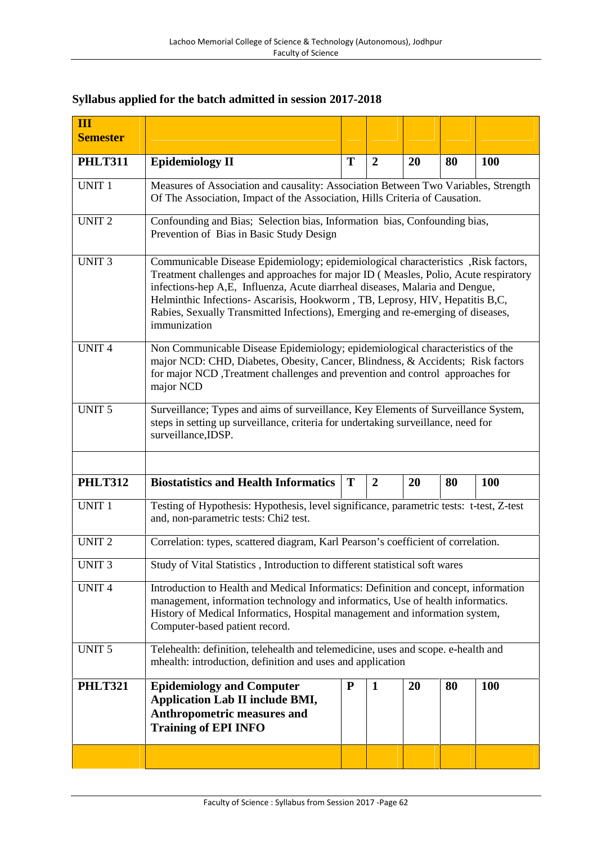## **Syllabus applied for the batch admitted in session 2017-2018**

| Ш<br><b>Semester</b> |                                                                                                                                                                                                                                                                                                                                                                                                                                             |                                                                                   |                  |           |    |            |  |  |  |
|----------------------|---------------------------------------------------------------------------------------------------------------------------------------------------------------------------------------------------------------------------------------------------------------------------------------------------------------------------------------------------------------------------------------------------------------------------------------------|-----------------------------------------------------------------------------------|------------------|-----------|----|------------|--|--|--|
| <b>PHLT311</b>       | <b>Epidemiology II</b>                                                                                                                                                                                                                                                                                                                                                                                                                      | T                                                                                 | $\boldsymbol{2}$ | 20        | 80 | 100        |  |  |  |
| UNIT <sub>1</sub>    | Measures of Association and causality: Association Between Two Variables, Strength<br>Of The Association, Impact of the Association, Hills Criteria of Causation.                                                                                                                                                                                                                                                                           |                                                                                   |                  |           |    |            |  |  |  |
| <b>UNIT2</b>         | Confounding and Bias; Selection bias, Information bias, Confounding bias,<br>Prevention of Bias in Basic Study Design                                                                                                                                                                                                                                                                                                                       |                                                                                   |                  |           |    |            |  |  |  |
| <b>UNIT 3</b>        | Communicable Disease Epidemiology; epidemiological characteristics , Risk factors,<br>Treatment challenges and approaches for major ID (Measles, Polio, Acute respiratory<br>infections-hep A,E, Influenza, Acute diarrheal diseases, Malaria and Dengue,<br>Helminthic Infections-Ascarisis, Hookworm, TB, Leprosy, HIV, Hepatitis B,C,<br>Rabies, Sexually Transmitted Infections), Emerging and re-emerging of diseases,<br>immunization |                                                                                   |                  |           |    |            |  |  |  |
| <b>UNIT4</b>         | Non Communicable Disease Epidemiology; epidemiological characteristics of the<br>major NCD: CHD, Diabetes, Obesity, Cancer, Blindness, & Accidents; Risk factors<br>for major NCD, Treatment challenges and prevention and control approaches for<br>major NCD                                                                                                                                                                              |                                                                                   |                  |           |    |            |  |  |  |
| <b>UNIT 5</b>        | Surveillance; Types and aims of surveillance, Key Elements of Surveillance System,<br>steps in setting up surveillance, criteria for undertaking surveillance, need for<br>surveillance, IDSP.                                                                                                                                                                                                                                              |                                                                                   |                  |           |    |            |  |  |  |
| <b>PHLT312</b>       | <b>Biostatistics and Health Informatics</b>                                                                                                                                                                                                                                                                                                                                                                                                 | T                                                                                 | $\overline{2}$   | 20        | 80 | 100        |  |  |  |
| <b>UNIT 1</b>        | Testing of Hypothesis: Hypothesis, level significance, parametric tests: t-test, Z-test<br>and, non-parametric tests: Chi2 test.                                                                                                                                                                                                                                                                                                            |                                                                                   |                  |           |    |            |  |  |  |
| <b>UNIT 2</b>        |                                                                                                                                                                                                                                                                                                                                                                                                                                             | Correlation: types, scattered diagram, Karl Pearson's coefficient of correlation. |                  |           |    |            |  |  |  |
|                      | Study of Vital Statistics, Introduction to different statistical soft wares                                                                                                                                                                                                                                                                                                                                                                 |                                                                                   |                  |           |    |            |  |  |  |
| UNIT 3               |                                                                                                                                                                                                                                                                                                                                                                                                                                             |                                                                                   |                  |           |    |            |  |  |  |
| <b>UNIT4</b>         | Introduction to Health and Medical Informatics: Definition and concept, information<br>management, information technology and informatics, Use of health informatics.<br>History of Medical Informatics, Hospital management and information system,<br>Computer-based patient record.                                                                                                                                                      |                                                                                   |                  |           |    |            |  |  |  |
| <b>UNIT 5</b>        | Telehealth: definition, telehealth and telemedicine, uses and scope. e-health and<br>mhealth: introduction, definition and uses and application                                                                                                                                                                                                                                                                                             |                                                                                   |                  |           |    |            |  |  |  |
| <b>PHLT321</b>       | <b>Epidemiology and Computer</b><br><b>Application Lab II include BMI,</b><br>Anthropometric measures and<br><b>Training of EPI INFO</b>                                                                                                                                                                                                                                                                                                    | ${\bf P}$                                                                         | $\mathbf{1}$     | <b>20</b> | 80 | <b>100</b> |  |  |  |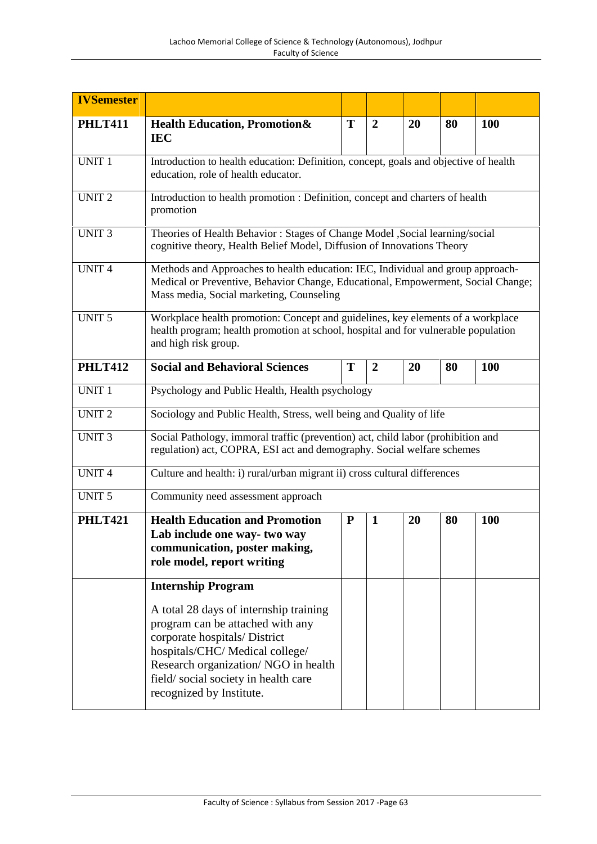| <b>IVSemester</b> |                                                                                                                                                                                                                                                         |           |                |    |    |            |  |
|-------------------|---------------------------------------------------------------------------------------------------------------------------------------------------------------------------------------------------------------------------------------------------------|-----------|----------------|----|----|------------|--|
| <b>PHLT411</b>    | <b>Health Education, Promotion&amp;</b><br><b>IEC</b>                                                                                                                                                                                                   | T         | $\overline{2}$ | 20 | 80 | 100        |  |
| <b>UNIT 1</b>     | Introduction to health education: Definition, concept, goals and objective of health<br>education, role of health educator.                                                                                                                             |           |                |    |    |            |  |
| <b>UNIT2</b>      | Introduction to health promotion : Definition, concept and charters of health<br>promotion                                                                                                                                                              |           |                |    |    |            |  |
| <b>UNIT 3</b>     | Theories of Health Behavior: Stages of Change Model , Social learning/social<br>cognitive theory, Health Belief Model, Diffusion of Innovations Theory                                                                                                  |           |                |    |    |            |  |
| <b>UNIT4</b>      | Methods and Approaches to health education: IEC, Individual and group approach-<br>Medical or Preventive, Behavior Change, Educational, Empowerment, Social Change;<br>Mass media, Social marketing, Counseling                                         |           |                |    |    |            |  |
| UNIT <sub>5</sub> | Workplace health promotion: Concept and guidelines, key elements of a workplace<br>health program; health promotion at school, hospital and for vulnerable population<br>and high risk group.                                                           |           |                |    |    |            |  |
| <b>PHLT412</b>    | <b>Social and Behavioral Sciences</b>                                                                                                                                                                                                                   | T         | $\overline{2}$ | 20 | 80 | <b>100</b> |  |
| UNIT <sub>1</sub> | Psychology and Public Health, Health psychology                                                                                                                                                                                                         |           |                |    |    |            |  |
| <b>UNIT2</b>      | Sociology and Public Health, Stress, well being and Quality of life                                                                                                                                                                                     |           |                |    |    |            |  |
| <b>UNIT 3</b>     | Social Pathology, immoral traffic (prevention) act, child labor (prohibition and<br>regulation) act, COPRA, ESI act and demography. Social welfare schemes                                                                                              |           |                |    |    |            |  |
| <b>UNIT4</b>      | Culture and health: i) rural/urban migrant ii) cross cultural differences                                                                                                                                                                               |           |                |    |    |            |  |
| <b>UNIT 5</b>     | Community need assessment approach                                                                                                                                                                                                                      |           |                |    |    |            |  |
| <b>PHLT421</b>    | <b>Health Education and Promotion</b><br>Lab include one way-two way<br>communication, poster making,<br>role model, report writing                                                                                                                     | ${\bf P}$ | $\mathbf{1}$   | 20 | 80 | <b>100</b> |  |
|                   | <b>Internship Program</b>                                                                                                                                                                                                                               |           |                |    |    |            |  |
|                   | A total 28 days of internship training<br>program can be attached with any<br>corporate hospitals/ District<br>hospitals/CHC/Medical college/<br>Research organization/NGO in health<br>field/social society in health care<br>recognized by Institute. |           |                |    |    |            |  |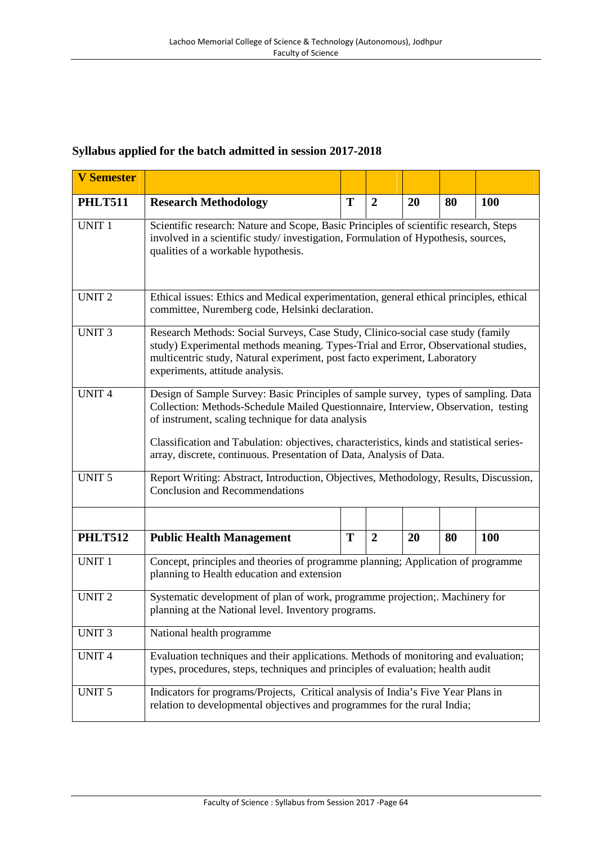## **Syllabus applied for the batch admitted in session 2017-2018**

| <b>V</b> Semester |                                                                                                                                                                                                                                                                                                                                                                                                      |   |                |    |    |            |  |  |
|-------------------|------------------------------------------------------------------------------------------------------------------------------------------------------------------------------------------------------------------------------------------------------------------------------------------------------------------------------------------------------------------------------------------------------|---|----------------|----|----|------------|--|--|
| <b>PHLT511</b>    | <b>Research Methodology</b>                                                                                                                                                                                                                                                                                                                                                                          | T | $\overline{2}$ | 20 | 80 | <b>100</b> |  |  |
| <b>UNIT 1</b>     | Scientific research: Nature and Scope, Basic Principles of scientific research, Steps<br>involved in a scientific study/investigation, Formulation of Hypothesis, sources,<br>qualities of a workable hypothesis.                                                                                                                                                                                    |   |                |    |    |            |  |  |
| <b>UNIT 2</b>     | Ethical issues: Ethics and Medical experimentation, general ethical principles, ethical<br>committee, Nuremberg code, Helsinki declaration.                                                                                                                                                                                                                                                          |   |                |    |    |            |  |  |
| <b>UNIT 3</b>     | Research Methods: Social Surveys, Case Study, Clinico-social case study (family<br>study) Experimental methods meaning. Types-Trial and Error, Observational studies,<br>multicentric study, Natural experiment, post facto experiment, Laboratory<br>experiments, attitude analysis.                                                                                                                |   |                |    |    |            |  |  |
| <b>UNIT4</b>      | Design of Sample Survey: Basic Principles of sample survey, types of sampling. Data<br>Collection: Methods-Schedule Mailed Questionnaire, Interview, Observation, testing<br>of instrument, scaling technique for data analysis<br>Classification and Tabulation: objectives, characteristics, kinds and statistical series-<br>array, discrete, continuous. Presentation of Data, Analysis of Data. |   |                |    |    |            |  |  |
| <b>UNIT 5</b>     | Report Writing: Abstract, Introduction, Objectives, Methodology, Results, Discussion,<br><b>Conclusion and Recommendations</b>                                                                                                                                                                                                                                                                       |   |                |    |    |            |  |  |
| <b>PHLT512</b>    | <b>Public Health Management</b>                                                                                                                                                                                                                                                                                                                                                                      | T | $\overline{2}$ | 20 | 80 | <b>100</b> |  |  |
| <b>UNIT 1</b>     | Concept, principles and theories of programme planning; Application of programme<br>planning to Health education and extension                                                                                                                                                                                                                                                                       |   |                |    |    |            |  |  |
| <b>UNIT 2</b>     | Systematic development of plan of work, programme projection;. Machinery for<br>planning at the National level. Inventory programs.                                                                                                                                                                                                                                                                  |   |                |    |    |            |  |  |
| <b>UNIT3</b>      | National health programme                                                                                                                                                                                                                                                                                                                                                                            |   |                |    |    |            |  |  |
| UNIT <sub>4</sub> | Evaluation techniques and their applications. Methods of monitoring and evaluation;<br>types, procedures, steps, techniques and principles of evaluation; health audit                                                                                                                                                                                                                               |   |                |    |    |            |  |  |
| <b>UNIT 5</b>     | Indicators for programs/Projects, Critical analysis of India's Five Year Plans in<br>relation to developmental objectives and programmes for the rural India;                                                                                                                                                                                                                                        |   |                |    |    |            |  |  |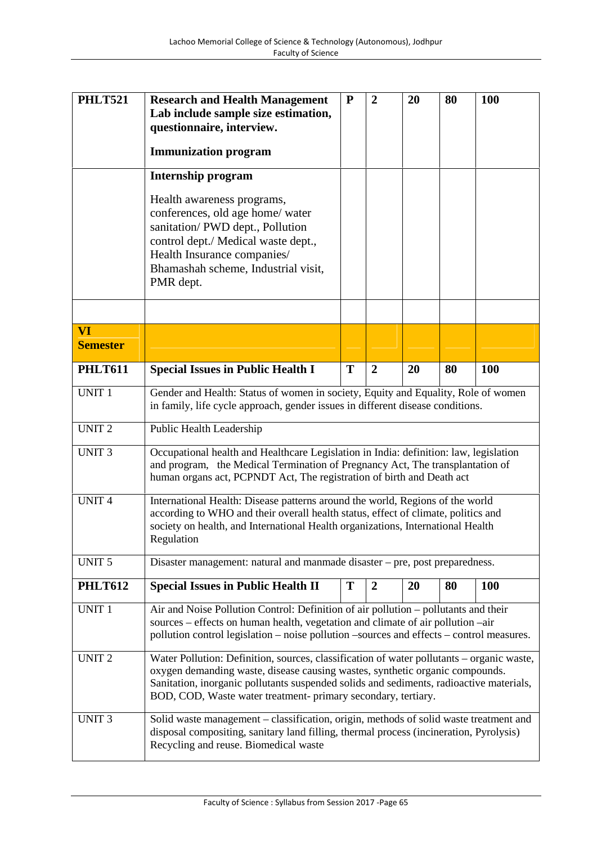| <b>PHLT521</b>  | <b>Research and Health Management</b><br>Lab include sample size estimation,<br>questionnaire, interview.                                                                                                                                                                                                                                                                                                                                                                                                              | ${\bf P}$ | $\overline{2}$ | 20 | 80 | 100        |  |
|-----------------|------------------------------------------------------------------------------------------------------------------------------------------------------------------------------------------------------------------------------------------------------------------------------------------------------------------------------------------------------------------------------------------------------------------------------------------------------------------------------------------------------------------------|-----------|----------------|----|----|------------|--|
|                 | <b>Immunization program</b>                                                                                                                                                                                                                                                                                                                                                                                                                                                                                            |           |                |    |    |            |  |
|                 | <b>Internship program</b>                                                                                                                                                                                                                                                                                                                                                                                                                                                                                              |           |                |    |    |            |  |
|                 | Health awareness programs,<br>conferences, old age home/ water<br>sanitation/PWD dept., Pollution<br>control dept./ Medical waste dept.,<br>Health Insurance companies/<br>Bhamashah scheme, Industrial visit,<br>PMR dept.                                                                                                                                                                                                                                                                                            |           |                |    |    |            |  |
| <b>VI</b>       |                                                                                                                                                                                                                                                                                                                                                                                                                                                                                                                        |           |                |    |    |            |  |
| <b>Semester</b> |                                                                                                                                                                                                                                                                                                                                                                                                                                                                                                                        |           |                |    |    |            |  |
| <b>PHLT611</b>  | <b>Special Issues in Public Health I</b>                                                                                                                                                                                                                                                                                                                                                                                                                                                                               | T         | $\overline{2}$ | 20 | 80 | <b>100</b> |  |
| <b>UNIT 1</b>   | Gender and Health: Status of women in society, Equity and Equality, Role of women<br>in family, life cycle approach, gender issues in different disease conditions.                                                                                                                                                                                                                                                                                                                                                    |           |                |    |    |            |  |
| <b>UNIT2</b>    | Public Health Leadership                                                                                                                                                                                                                                                                                                                                                                                                                                                                                               |           |                |    |    |            |  |
| <b>UNIT3</b>    | Occupational health and Healthcare Legislation in India: definition: law, legislation<br>and program, the Medical Termination of Pregnancy Act, The transplantation of<br>human organs act, PCPNDT Act, The registration of birth and Death act<br>International Health: Disease patterns around the world, Regions of the world<br>according to WHO and their overall health status, effect of climate, politics and<br>society on health, and International Health organizations, International Health<br>Regulation |           |                |    |    |            |  |
| <b>UNIT4</b>    |                                                                                                                                                                                                                                                                                                                                                                                                                                                                                                                        |           |                |    |    |            |  |
| <b>UNIT 5</b>   | Disaster management: natural and manmade disaster – pre, post preparedness.                                                                                                                                                                                                                                                                                                                                                                                                                                            |           |                |    |    |            |  |
| <b>PHLT612</b>  | <b>Special Issues in Public Health II</b>                                                                                                                                                                                                                                                                                                                                                                                                                                                                              | T         | $\overline{2}$ | 20 | 80 | <b>100</b> |  |
| <b>UNIT 1</b>   | Air and Noise Pollution Control: Definition of air pollution - pollutants and their<br>sources – effects on human health, vegetation and climate of air pollution –air<br>pollution control legislation - noise pollution - sources and effects - control measures.                                                                                                                                                                                                                                                    |           |                |    |    |            |  |
| <b>UNIT2</b>    | Water Pollution: Definition, sources, classification of water pollutants – organic waste,<br>oxygen demanding waste, disease causing wastes, synthetic organic compounds.<br>Sanitation, inorganic pollutants suspended solids and sediments, radioactive materials,<br>BOD, COD, Waste water treatment- primary secondary, tertiary.                                                                                                                                                                                  |           |                |    |    |            |  |
| <b>UNIT 3</b>   | Solid waste management - classification, origin, methods of solid waste treatment and<br>disposal compositing, sanitary land filling, thermal process (incineration, Pyrolysis)<br>Recycling and reuse. Biomedical waste                                                                                                                                                                                                                                                                                               |           |                |    |    |            |  |